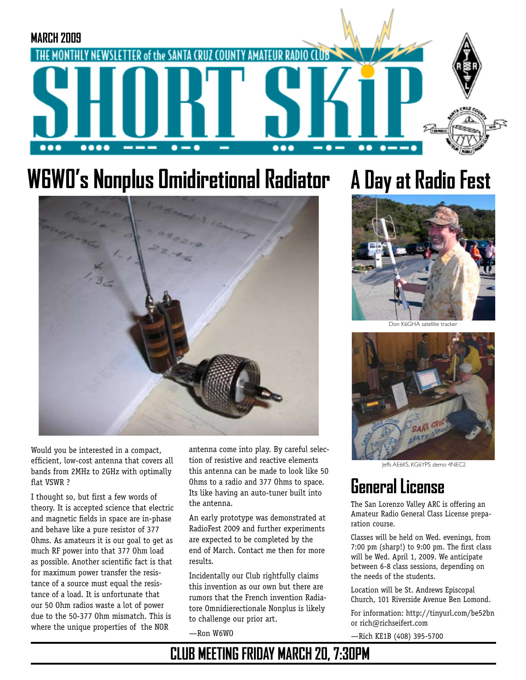

# **W6W0's Nonplus Omidiretional Radiator**



Would you be interested in a compact, efficient, low-cost antenna that covers all bands from 2MHz to 2GHz with optimally flat VSWR ?

I thought so, but first a few words of theory. It is accepted science that electric and magnetic fields in space are in-phase and behave like a pure resistor of 377 Ohms. As amateurs it is our goal to get as much RF power into that 377 Ohm load as possible. Another scientific fact is that for maximum power transfer the resistance of a source must equal the resistance of a load. It is unfortunate that our 50 Ohm radios waste a lot of power due to the 50-377 Ohm mismatch. This is where the unique properties of the NOR

antenna come into play. By careful selection of resistive and reactive elements this antenna can be made to look like 50 Ohms to a radio and 377 Ohms to space. Its like having an auto-tuner built into the antenna.

An early prototype was demonstrated at RadioFest 2009 and further experiments are expected to be completed by the end of March. Contact me then for more results.

Incidentally our Club rightfully claims this invention as our own but there are rumors that the French invention Radiatore Omnidierectionale Nonplus is likely to challenge our prior art.

—Ron W6WO

## **A Day at Radio Fest**



Don K6GHA satellite tracker



Jeffs AE6KS, KG6YPS demo 4NEC2

### **General License**

The San Lorenzo Valley ARC is offering an Amateur Radio General Class License preparation course.

Classes will be held on Wed. evenings, from 7:00 pm (sharp!) to 9:00 pm. The first class will be Wed. April 1, 2009. We anticipate between 6-8 class sessions, depending on the needs of the students.

Location will be St. Andrews Episcopal Church, 101 Riverside Avenue Ben Lomond.

For information: http://tinyurl.com/be52bn or rich@richseifert.com

—Rich KE1B (408) 395-5700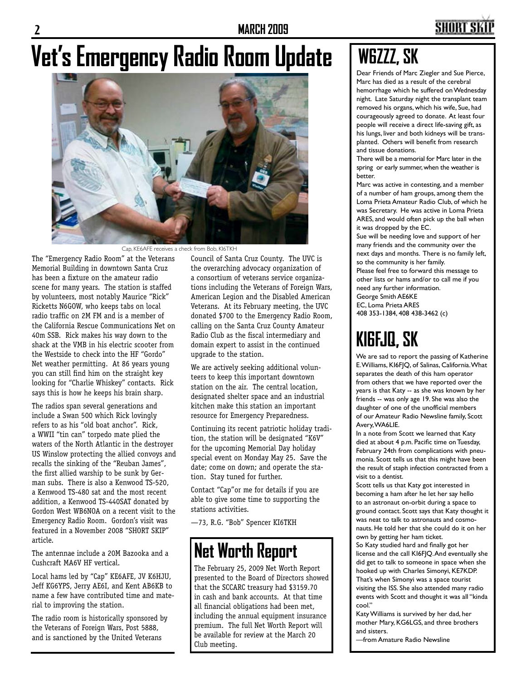## SHORT SI

# **Vet's Emergency Radio Room Update**



Cap, KE6AFE receives a check from Bob, KI6TKH

The "Emergency Radio Room" at the Veterans Memorial Building in downtown Santa Cruz has been a fixture on the amateur radio scene for many years. The station is staffed by volunteers, most notably Maurice "Rick" Ricketts N6GOW, who keeps tabs on local radio traffic on 2M FM and is a member of the California Rescue Communications Net on 40m SSB. Rick makes his way down to the shack at the VMB in his electric scooter from the Westside to check into the HF "Gordo" Net weather permitting. At 86 years young you can still find him on the straight key looking for "Charlie Whiskey" contacts. Rick says this is how he keeps his brain sharp.

The radios span several generations and include a Swan 500 which Rick lovingly refers to as his "old boat anchor". Rick, a WWII "tin can" torpedo mate plied the waters of the North Atlantic in the destroyer US Winslow protecting the allied convoys and recalls the sinking of the "Reuban James", the first allied warship to be sunk by German subs. There is also a Kenwood TS-520, a Kenwood TS-480 sat and the most recent addition, a Kenwood TS-440SAT donated by Gordon West WB6NOA on a recent visit to the Emergency Radio Room. Gordon's visit was featured in a November 2008 "SHORT SKIP" article.

The antennae include a 20M Bazooka and a Cushcraft MA6V HF vertical.

Local hams led by "Cap" KE6AFE, JV K6HJU, Jeff KG6YPS, Jerry AE6I, and Kent AB6KB to name a few have contributed time and material to improving the station.

The radio room is historically sponsored by the Veterans of Foreign Wars, Post 5888, and is sanctioned by the United Veterans

Council of Santa Cruz County. The UVC is the overarching advocacy organization of a consortium of veterans service organizations including the Veterans of Foreign Wars, American Legion and the Disabled American Veterans. At its February meeting, the UVC donated \$700 to the Emergency Radio Room, calling on the Santa Cruz County Amateur Radio Club as the fiscal intermediary and domain expert to assist in the continued upgrade to the station.

We are actively seeking additional volunteers to keep this important downtown station on the air. The central location, designated shelter space and an industrial kitchen make this station an important resource for Emergency Preparedness.

Continuing its recent patriotic holiday tradition, the station will be designated "K6V" for the upcoming Memorial Day holiday special event on Monday May 25. Save the date; come on down; and operate the station. Stay tuned for further.

Contact "Cap"or me for details if you are able to give some time to supporting the stations activities.

—73, R.G. "Bob" Spencer KI6TKH

### **Net Worth Report**

The February 25, 2009 Net Worth Report presented to the Board of Directors showed that the SCCARC treasury had \$3159.70 in cash and bank accounts. At that time all financial obligations had been met, including the annual equipment insurance premium. The full Net Worth Report will be available for review at the March 20 Club meeting.

## **W6ZZZ, SK**

Dear Friends of Marc Ziegler and Sue Pierce, Marc has died as a result of the cerebral hemorrhage which he suffered on Wednesday night. Late Saturday night the transplant team removed his organs, which his wife, Sue, had courageously agreed to donate. At least four people will receive a direct life-saving gift, as his lungs, liver and both kidneys will be transplanted. Others will benefit from research and tissue donations.

There will be a memorial for Marc later in the spring or early summer, when the weather is better.

Marc was active in contesting, and a member of a number of ham groups, among them the Loma Prieta Amateur Radio Club, of which he was Secretary. He was active in Loma Prieta ARES, and would often pick up the ball when it was dropped by the EC.

Sue will be needing love and support of her many friends and the community over the next days and months. There is no family left, so the community is her family. Please feel free to forward this message to other lists or hams and/or to call me if you need any further information. George Smith AE6KE EC, Loma Prieta ARES 408 353-1384, 408 438-3462 (c)

## **KI6FJQ, SK**

We are sad to report the passing of Katherine E. Williams, KI6FJQ, of Salinas, California. What separates the death of this ham operator from others that we have reported over the years is that Katy -- as she was known by her friends -- was only age 19. She was also the daughter of one of the unofficial members of our Amateur Radio Newsline family, Scott Avery, WA6LIE.

In a note from Scott we learned that Katy died at about 4 p.m. Pacific time on Tuesday, February 24th from complications with pneumonia. Scott tells us that this might have been the result of staph infection contracted from a visit to a dentist.

Scott tells us that Katy got interested in becoming a ham after he let her say hello to an astronaut on-orbit during a space to ground contact. Scott says that Katy thought it was neat to talk to astronauts and cosmonauts. He told her that she could do it on her own by getting her ham ticket.

So Katy studied hard and finally got her license and the call KI6FJQ. And eventually she did get to talk to someone in space when she hooked up with Charles Simonyi, KE7KDP. That's when Simonyi was a space tourist visiting the ISS. She also attended many radio events with Scott and thought it was all "kinda cool."

Katy Williams is survived by her dad, her mother Mary, KG6LGS, and three brothers and sisters.

—from Amature Radio Newsline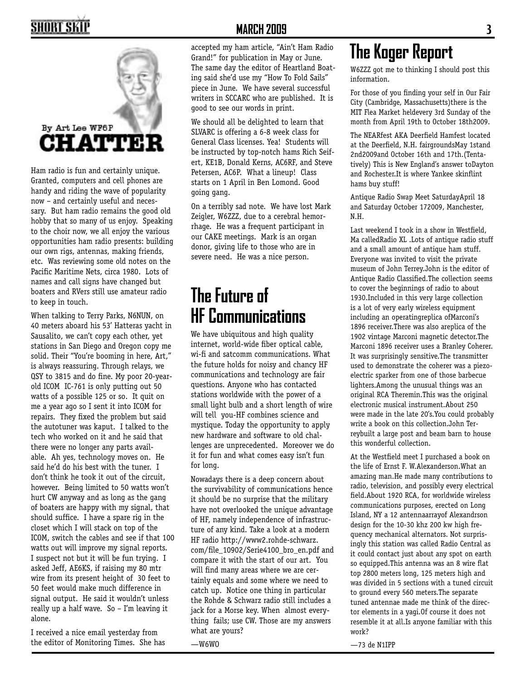## SHORT SKI



Ham radio is fun and certainly unique. Granted, computers and cell phones are handy and riding the wave of popularity now – and certainly useful and necessary. But ham radio remains the good old hobby that so many of us enjoy. Speaking to the choir now, we all enjoy the various opportunities ham radio presents: building our own rigs, antennas, making friends, etc. Was reviewing some old notes on the Pacific Maritime Nets, circa 1980. Lots of names and call signs have changed but boaters and RVers still use amateur radio to keep in touch.

When talking to Terry Parks, N6NUN, on 40 meters aboard his 53' Hatteras yacht in Sausalito, we can't copy each other, yet stations in San Diego and Oregon copy me solid. Their "You're booming in here, Art," is always reassuring. Through relays, we QSY to 3815 and do fine. My poor 20-yearold ICOM IC-761 is only putting out 50 watts of a possible 125 or so. It quit on me a year ago so I sent it into ICOM for repairs. They fixed the problem but said the autotuner was kaput. I talked to the tech who worked on it and he said that there were no longer any parts available. Ah yes, technology moves on. He said he'd do his best with the tuner. I don't think he took it out of the circuit, however. Being limited to 50 watts won't hurt CW anyway and as long as the gang of boaters are happy with my signal, that should suffice. I have a spare rig in the closet which I will stack on top of the ICOM, switch the cables and see if that 100 watts out will improve my signal reports. I suspect not but it will be fun trying. I asked Jeff, AE6KS, if raising my 80 mtr wire from its present height of 30 feet to 50 feet would make much difference in signal output. He said it wouldn't unless really up a half wave. So – I'm leaving it alone.

I received a nice email yesterday from the editor of Monitoring Times. She has

#### **MARCH 2009 3**

accepted my ham article, "Ain't Ham Radio Grand!" for publication in May or June. The same day the editor of Heartland Boating said she'd use my "How To Fold Sails" piece in June. We have several successful writers in SCCARC who are published. It is good to see our words in print.

We should all be delighted to learn that SLVARC is offering a 6-8 week class for General Class licenses. Yea! Students will be instructed by top-notch hams Rich Seifert, KE1B, Donald Kerns, AC6RF, and Steve Petersen, AC6P. What a lineup! Class starts on 1 April in Ben Lomond. Good going gang.

On a terribly sad note. We have lost Mark Zeigler, W6ZZZ, due to a cerebral hemorrhage. He was a frequent participant in our CAKE meetings. Mark is an organ donor, giving life to those who are in severe need. He was a nice person.

### **The Future of HF Communications**

We have ubiquitous and high quality internet, world-wide fiber optical cable, wi-fi and satcomm communications. What the future holds for noisy and chancy HF communications and technology are fair questions. Anyone who has contacted stations worldwide with the power of a small light bulb and a short length of wire will tell you-HF combines science and mystique. Today the opportunity to apply new hardware and software to old challenges are unprecedented. Moreover we do it for fun and what comes easy isn't fun for long.

Nowadays there is a deep concern about the survivability of communications hence it should be no surprise that the military have not overlooked the unique advantage of HF, namely independence of infrastructure of any kind. Take a look at a modern HF radio http://www2.rohde-schwarz. com/file\_10902/Serie4100\_bro\_en.pdf and compare it with the start of our art. You will find many areas where we are certainly equals and some where we need to catch up. Notice one thing in particular the Rohde & Schwarz radio still includes a jack for a Morse key. When almost everything fails; use CW. Those are my answers what are yours?

 $-W6WD$ 

## **The Koger Report**

W6ZZZ got me to thinking I should post this information.

For those of you finding your self in Our Fair City (Cambridge, Massachusetts)there is the MIT Flea Market heldevery 3rd Sunday of the month from April 19th to October 18th2009.

The NEARfest AKA Deerfield Hamfest located at the Deerfield, N.H. fairgroundsMay 1stand 2nd2009and October 16th and 17th.(Tentatively) This is New England's answer toDayton and Rochester.It is where Yankee skinflint hams buy stuff!

Antique Radio Swap Meet SaturdayApril 18 and Saturday October 172009, Manchester, N.H.

Last weekend I took in a show in Westfield, Ma calledRadio XL .Lots of antique radio stuff and a small amount of antique ham stuff. Everyone was invited to visit the private museum of John Terrey.John is the editor of Antique Radio Classified.The collection seems to cover the beginnings of radio to about 1930.Included in this very large collection is a lot of very early wireless equipment including an operatingreplica ofMarconi's 1896 receiver.There was also areplica of the 1902 vintage Marconi magnetic detector.The Marconi 1896 receiver uses a Branley Coherer. It was surprisingly sensitive.The transmitter used to demonstrate the coherer was a piezoelectric sparker from one of those barbecue lighters.Among the unusual things was an original RCA Theremin.This was the original electronic musical instrument.About 250 were made in the late 20's.You could probably write a book on this collection.John Terreybuilt a large post and beam barn to house this wonderful collection.

At the Westfield meet I purchased a book on the life of Ernst F. W.Alexanderson.What an amazing man.He made many contributions to radio, television, and possibly every electrical field.About 1920 RCA, for worldwide wireless communications purposes, erected on Long Island, NY a 12 antennaarrayof Alexandrson design for the 10-30 khz 200 kw high frequency mechanical alternators. Not surprisingly this station was called Radio Central as it could contact just about any spot on earth so equipped.This antenna was an 8 wire flat top 2800 meters long, 125 meters high and was divided in 5 sections with a tuned circuit to ground every 560 meters.The separate tuned antennae made me think of the director elements in a yagi.Of course it does not resemble it at all.Is anyone familiar with this work?

—73 de N1IPP